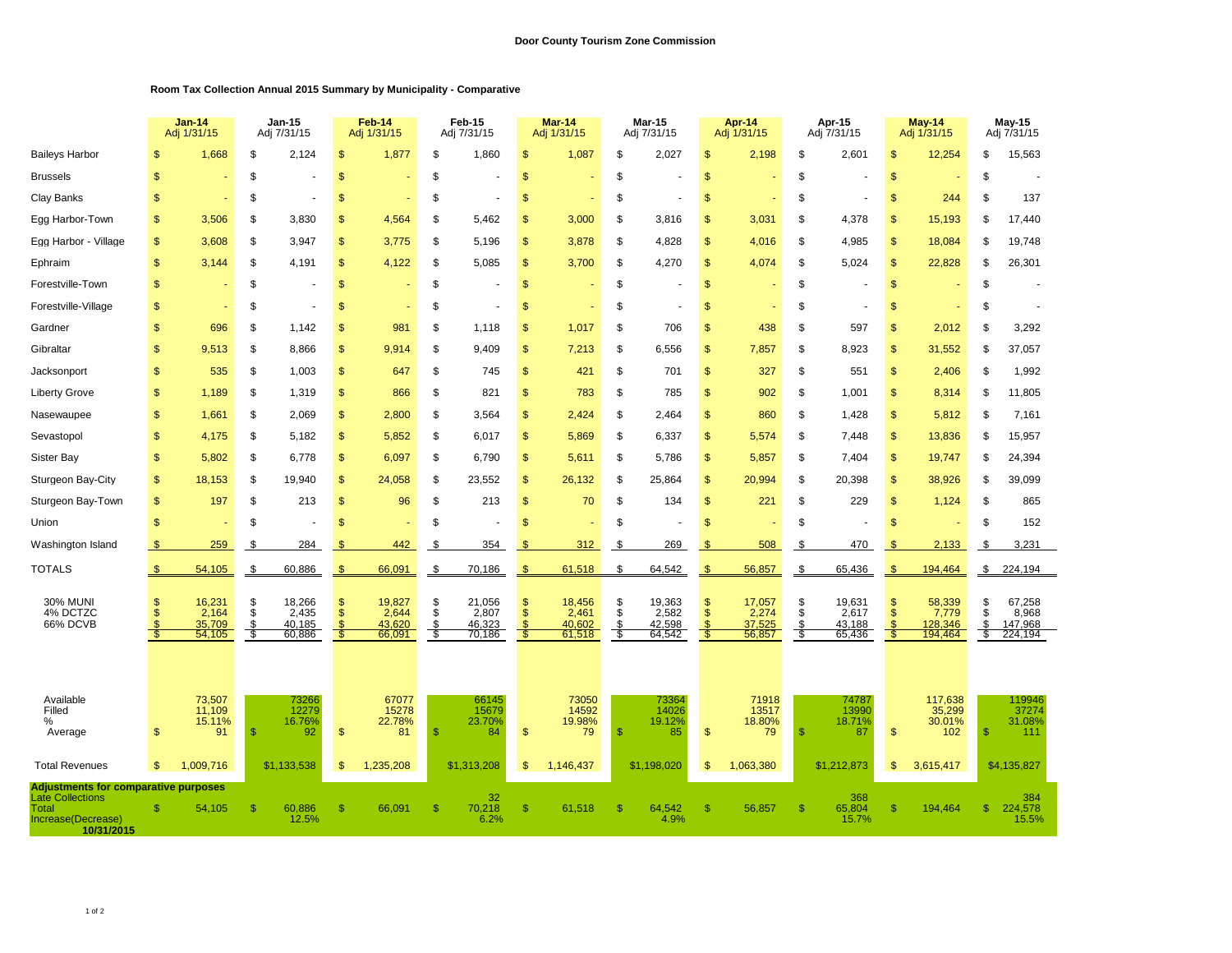## **Room Tax Collection Annual 2015 Summary by Municipality - Comparative**

|                                                                                                                     |                | Jan-14<br>Adj 1/31/15                         |                      | <b>Jan-15</b><br>Adj 7/31/15        |                                            | Feb-14<br>Adj 1/31/15               |                         | Feb-15<br>Adj 7/31/15               |                           | Mar-14<br>Adj 1/31/15               |                      | Mar-15<br>Adj 7/31/15               | Apr-14<br>Adj 1/31/15     |                                     | Apr-15<br>Adj 7/31/15 |                                     | May-14<br>Adj 1/31/15    |                                       | May-15<br>Adj 7/31/15 |                                       |
|---------------------------------------------------------------------------------------------------------------------|----------------|-----------------------------------------------|----------------------|-------------------------------------|--------------------------------------------|-------------------------------------|-------------------------|-------------------------------------|---------------------------|-------------------------------------|----------------------|-------------------------------------|---------------------------|-------------------------------------|-----------------------|-------------------------------------|--------------------------|---------------------------------------|-----------------------|---------------------------------------|
| <b>Baileys Harbor</b>                                                                                               | \$             | 1,668                                         | \$                   | 2,124                               | \$                                         | 1,877                               | \$                      | 1,860                               | $\mathfrak{s}$            | 1,087                               | \$                   | 2,027                               | \$                        | 2,198                               | \$                    | 2,601                               | \$                       | 12,254                                | \$                    | 15,563                                |
| <b>Brussels</b>                                                                                                     | $\mathsf{\$}$  |                                               | \$                   |                                     | $\mathsf{\$}$                              |                                     | \$                      |                                     | $\frac{1}{2}$             |                                     | \$                   |                                     | <sup>\$</sup>             |                                     | \$                    |                                     | $\mathsf{\$}$            |                                       | \$                    |                                       |
| Clay Banks                                                                                                          | \$             |                                               | \$                   |                                     | \$                                         |                                     | \$                      |                                     | $\mathfrak{s}$            |                                     | S                    |                                     | <sup>\$</sup>             |                                     | \$                    |                                     | $\mathfrak{s}$           | 244                                   | \$                    | 137                                   |
| Egg Harbor-Town                                                                                                     | \$             | 3,506                                         | \$                   | 3,830                               | \$                                         | 4,564                               | \$                      | 5,462                               | \$                        | 3,000                               | \$                   | 3,816                               | <sup>\$</sup>             | 3,031                               | \$                    | 4,378                               | <sup>\$</sup>            | 15,193                                | \$                    | 17,440                                |
| Egg Harbor - Village                                                                                                | \$             | 3,608                                         | \$                   | 3,947                               | \$                                         | 3,775                               | \$                      | 5,196                               | \$                        | 3,878                               | \$                   | 4,828                               | <sup>\$</sup>             | 4,016                               | \$                    | 4,985                               | \$                       | 18,084                                | \$                    | 19,748                                |
| Ephraim                                                                                                             | \$             | 3,144                                         | \$                   | 4,191                               | \$                                         | 4,122                               | \$                      | 5,085                               | $\frac{1}{2}$             | 3,700                               | \$                   | 4,270                               | <sup>\$</sup>             | 4,074                               | \$                    | 5,024                               | \$                       | 22,828                                | \$                    | 26,301                                |
| Forestville-Town                                                                                                    | \$             |                                               | \$                   |                                     | \$                                         |                                     | \$                      |                                     | $\frac{1}{2}$             |                                     | \$                   |                                     | \$                        |                                     | \$                    |                                     | \$                       |                                       | \$                    |                                       |
| Forestville-Village                                                                                                 | \$             |                                               | \$                   |                                     | \$                                         |                                     | \$                      |                                     | $\mathfrak{s}$            |                                     | \$                   |                                     | \$                        |                                     | \$                    |                                     | <sup>\$</sup>            |                                       | \$                    |                                       |
| Gardner                                                                                                             | $\mathbf{s}$   | 696                                           | \$                   | 1,142                               | \$                                         | 981                                 | \$                      | 1,118                               | \$                        | 1,017                               | \$                   | 706                                 | \$                        | 438                                 | \$                    | 597                                 | $\mathbf{s}$             | 2,012                                 | \$                    | 3,292                                 |
| Gibraltar                                                                                                           | $\mathsf{\$}$  | 9,513                                         | \$                   | 8,866                               | \$                                         | 9,914                               | \$                      | 9,409                               | $\mathsf{\$}$             | 7,213                               | \$                   | 6,556                               | $\mathsf{\$}$             | 7,857                               | \$                    | 8,923                               | $\mathsf{\$}$            | 31,552                                | \$                    | 37,057                                |
| Jacksonport                                                                                                         | <sub>\$</sub>  | 535                                           | \$                   | 1,003                               | $\mathbb{S}$                               | 647                                 | \$                      | 745                                 | $\mathfrak{s}$            | 421                                 | \$                   | 701                                 | <sup>\$</sup>             | 327                                 | \$                    | 551                                 | $\mathbb{S}$             | 2,406                                 | \$                    | 1,992                                 |
| <b>Liberty Grove</b>                                                                                                | \$             | 1,189                                         | \$                   | 1,319                               | \$                                         | 866                                 | \$                      | 821                                 | $\frac{1}{2}$             | 783                                 | \$                   | 785                                 | \$                        | 902                                 | \$                    | 1,001                               | $\mathsf{\$}$            | 8,314                                 | \$                    | 11,805                                |
| Nasewaupee                                                                                                          | $\mathfrak{s}$ | 1,661                                         | \$                   | 2,069                               | \$                                         | 2,800                               | \$                      | 3,564                               | \$                        | 2,424                               | \$                   | 2,464                               | $\mathbf{s}$              | 860                                 | \$                    | 1,428                               | $\mathbf{s}$             | 5,812                                 | \$                    | 7,161                                 |
| Sevastopol                                                                                                          | $\mathbf{\$}$  | 4,175                                         | \$                   | 5.182                               | \$                                         | 5,852                               | \$                      | 6.017                               | \$                        | 5,869                               | \$                   | 6,337                               | $\mathbf{\$}$             | 5.574                               | \$                    | 7.448                               | $\mathbf{s}$             | 13,836                                | \$                    | 15,957                                |
| Sister Bay                                                                                                          | $\mathbf{s}$   | 5,802                                         | \$                   | 6,778                               | \$                                         | 6,097                               | \$                      | 6,790                               | $\mathsf{\$}$             | 5,611                               | \$                   | 5,786                               | $\mathbf{s}$              | 5,857                               | \$                    | 7,404                               | $\mathsf{\$}$            | 19,747                                | \$                    | 24,394                                |
| Sturgeon Bay-City                                                                                                   | \$             | 18,153                                        | \$                   | 19,940                              | \$                                         | 24,058                              | \$                      | 23,552                              | $\mathfrak{s}$            | 26,132                              | \$                   | 25,864                              | \$                        | 20,994                              | \$                    | 20,398                              | \$                       | 38,926                                | \$                    | 39,099                                |
| Sturgeon Bay-Town                                                                                                   | \$             | 197                                           | \$                   | 213                                 | \$                                         | 96                                  | \$                      | 213                                 | $\frac{1}{2}$             | 70                                  | \$                   | 134                                 | \$                        | 221                                 | \$                    | 229                                 | $\mathsf{\$}$            | 1,124                                 | \$                    | 865                                   |
| Union                                                                                                               | $\mathsf{\$}$  |                                               | \$                   |                                     | \$                                         |                                     | \$                      |                                     | \$                        |                                     | \$                   |                                     | $\mathbf{s}$              |                                     | \$                    |                                     | $\mathbf{s}$             |                                       | \$                    | 152                                   |
| Washington Island                                                                                                   | \$             | 259                                           | \$                   | 284                                 | \$                                         | 442                                 | \$                      | 354                                 | S.                        | 312                                 | S                    | 269                                 | \$                        | 508                                 | -\$                   | 470                                 | -SS                      | 2,133                                 | \$                    | 3,231                                 |
| <b>TOTALS</b>                                                                                                       | \$             | 54,105                                        | \$                   | 60,886                              | \$                                         | 66,091                              | \$                      | 70,186                              | $\frac{3}{2}$             | 61,518                              | \$                   | 64,542                              | $\frac{1}{2}$             | 56,857                              | \$                    | 65,436                              | <sup>\$</sup>            | 194,464                               | $\frac{3}{2}$         | 224,194                               |
| <b>30% MUNI</b><br>4% DCTZC<br>66% DCVB                                                                             | <sup>\$</sup>  | 16,231<br>2,164<br>35,709<br>54,105           | \$<br>\$<br>\$<br>\$ | 18,266<br>2,435<br>40,185<br>60,886 | \$<br>$\ddot{\$}$<br>$\mathfrak{L}$<br>-55 | 19,827<br>2,644<br>43,620<br>66,091 | \$<br>\$<br>\$.<br>- \$ | 21,056<br>2,807<br>46,323<br>70,186 | $\frac{1}{2}$<br>Ŝ.<br>-5 | 18,456<br>2,461<br>40,602<br>61,518 | \$<br>\$<br>\$<br>\$ | 19,363<br>2,582<br>42,598<br>64,542 | $\frac{3}{2}$<br>\$<br>-5 | 17,057<br>2,274<br>37,525<br>56,857 | \$<br>\$<br>\$<br>S.  | 19,631<br>2,617<br>43,188<br>65,436 | $\mathcal{S}$<br>Ŝ<br>-5 | 58,339<br>7,779<br>128,346<br>194,464 | \$<br>\$<br>\$<br>\$  | 67,258<br>8,968<br>147,968<br>224,194 |
| Available<br>Filled<br>%<br>Average                                                                                 | \$             | 73,507<br>11,109<br>15.11%<br>91<br>1.009.716 | -S                   | 73266<br>12279<br>16.76%<br>92      | \$                                         | 67077<br>15278<br>22.78%<br>81      | $\mathbf{\$}$           | 66145<br>15679<br>23.70%<br>84      | $\mathfrak{s}$<br>\$.     | 73050<br>14592<br>19.98%<br>79      | \$                   | 73364<br>14026<br>19.12%<br>85      | <sup>\$</sup>             | 71918<br>13517<br>18.80%<br>79      | \$                    | 74787<br>13990<br>18.71%<br>87      | \$<br>\$.                | 117,638<br>35,299<br>30.01%<br>102    | \$.                   | 119946<br>37274<br>31.08%<br>111      |
| <b>Total Revenues</b>                                                                                               | \$             |                                               |                      | \$1,133,538                         | \$                                         | 1,235,208                           |                         | \$1,313,208                         |                           | 1,146,437                           |                      | \$1,198,020                         | \$                        | 1,063,380                           |                       | \$1,212,873                         |                          | 3,615,417                             |                       | \$4,135,827                           |
| <b>Adjustments for comparative purposes</b><br><b>Late Collections</b><br>Total<br>Increase(Decrease)<br>10/31/2015 | $\mathbb{S}$   | 54,105                                        | $\mathbb{S}$         | 60,886<br>12.5%                     | $\mathsf{\$}$                              | 66,091                              | $\mathsf{\$}$           | 32<br>70,218<br>6.2%                | $\mathfrak{s}$            | 61,518                              | \$.                  | 64,542<br>4.9%                      | <sup>\$</sup>             | 56,857                              | \$                    | 368<br>65,804<br>15.7%              | <sup>\$</sup>            | 194,464                               | -S                    | 384<br>224,578<br>15.5%               |